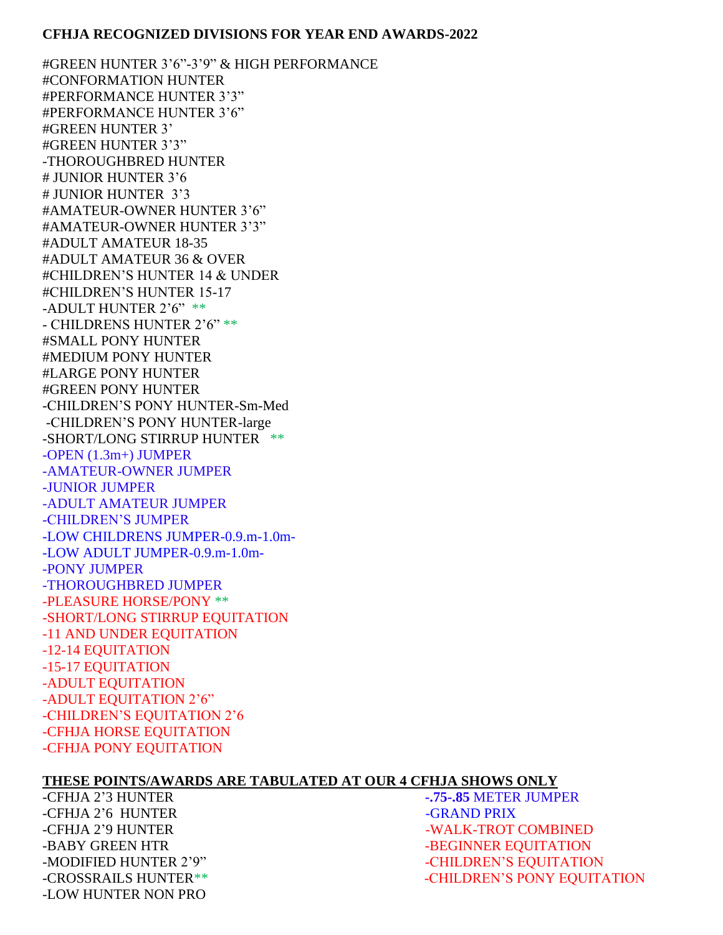## **CFHJA RECOGNIZED DIVISIONS FOR YEAR END AWARDS-2022**

#GREEN HUNTER 3'6"-3'9" & HIGH PERFORMANCE #CONFORMATION HUNTER #PERFORMANCE HUNTER 3'3" #PERFORMANCE HUNTER 3'6" #GREEN HUNTER 3' #GREEN HUNTER 3'3" -THOROUGHBRED HUNTER # JUNIOR HUNTER 3'6 # JUNIOR HUNTER 3'3 #AMATEUR-OWNER HUNTER 3'6" #AMATEUR-OWNER HUNTER 3'3" #ADULT AMATEUR 18-35 #ADULT AMATEUR 36 & OVER #CHILDREN'S HUNTER 14 & UNDER #CHILDREN'S HUNTER 15-17 -ADULT HUNTER 2'6" \*\* - CHILDRENS HUNTER 2'6" \*\* #SMALL PONY HUNTER #MEDIUM PONY HUNTER #LARGE PONY HUNTER #GREEN PONY HUNTER -CHILDREN'S PONY HUNTER-Sm-Med -CHILDREN'S PONY HUNTER-large -SHORT/LONG STIRRUP HUNTER \*\* -OPEN (1.3m+) JUMPER -AMATEUR-OWNER JUMPER -JUNIOR JUMPER -ADULT AMATEUR JUMPER -CHILDREN'S JUMPER -LOW CHILDRENS JUMPER-0.9.m-1.0m- -LOW ADULT JUMPER-0.9.m-1.0m- -PONY JUMPER -THOROUGHBRED JUMPER -PLEASURE HORSE/PONY \*\* -SHORT/LONG STIRRUP EQUITATION -11 AND UNDER EQUITATION -12-14 EQUITATION -15-17 EQUITATION -ADULT EQUITATION -ADULT EQUITATION 2'6" -CHILDREN'S EQUITATION 2'6 -CFHJA HORSE EQUITATION -CFHJA PONY EQUITATION

## **THESE POINTS/AWARDS ARE TABULATED AT OUR 4 CFHJA SHOWS ONLY**

-CFHJA 2'6 HUNTER -GRAND PRIX -LOW HUNTER NON PRO

-CFHJA 2'3 HUNTER **-.75-.85** METER JUMPER -CFHJA 2'9 HUNTER - WALK-TROT COMBINED -BABY GREEN HTR **-BEGINNER EQUITATION** -MODIFIED HUNTER 2'9"-CHILDREN'S EQUITATION -CROSSRAILS HUNTER\*\* TEXT THE SECOND RESOLUTION OF THE SECOND SECOND LIMITATION